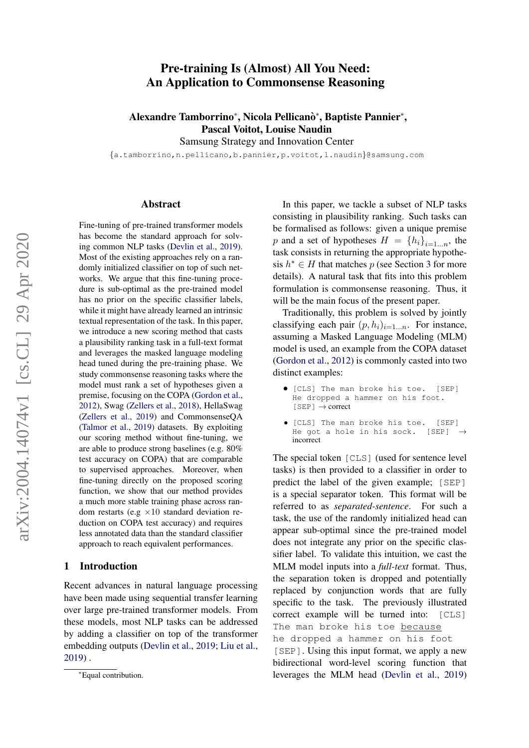# arXiv:2004.14074v1 [cs.CL] 29 Apr 2020 arXiv:2004.14074v1 [cs.CL] 29 Apr 2020

# Pre-training Is (Almost) All You Need: An Application to Commonsense Reasoning

Alexandre Tamborrino\*, Nicola Pellicanò\*, Baptiste Pannier\*, Pascal Voitot, Louise Naudin

Samsung Strategy and Innovation Center

{a.tamborrino,n.pellicano,b.pannier,p.voitot,l.naudin}@samsung.com

#### Abstract

Fine-tuning of pre-trained transformer models has become the standard approach for solving common NLP tasks [\(Devlin et al.,](#page-8-0) [2019\)](#page-8-0). Most of the existing approaches rely on a randomly initialized classifier on top of such networks. We argue that this fine-tuning procedure is sub-optimal as the pre-trained model has no prior on the specific classifier labels, while it might have already learned an intrinsic textual representation of the task. In this paper, we introduce a new scoring method that casts a plausibility ranking task in a full-text format and leverages the masked language modeling head tuned during the pre-training phase. We study commonsense reasoning tasks where the model must rank a set of hypotheses given a premise, focusing on the COPA [\(Gordon et al.,](#page-8-1) [2012\)](#page-8-1), Swag [\(Zellers et al.,](#page-8-2) [2018\)](#page-8-2), HellaSwag [\(Zellers et al.,](#page-9-0) [2019\)](#page-9-0) and CommonsenseQA [\(Talmor et al.,](#page-8-3) [2019\)](#page-8-3) datasets. By exploiting our scoring method without fine-tuning, we are able to produce strong baselines (e.g. 80% test accuracy on COPA) that are comparable to supervised approaches. Moreover, when fine-tuning directly on the proposed scoring function, we show that our method provides a much more stable training phase across random restarts (e.g  $\times 10$  standard deviation reduction on COPA test accuracy) and requires less annotated data than the standard classifier approach to reach equivalent performances.

# 1 Introduction

Recent advances in natural language processing have been made using sequential transfer learning over large pre-trained transformer models. From these models, most NLP tasks can be addressed by adding a classifier on top of the transformer embedding outputs [\(Devlin et al.,](#page-8-0) [2019;](#page-8-0) [Liu et al.,](#page-8-4) [2019\)](#page-8-4) .

In this paper, we tackle a subset of NLP tasks consisting in plausibility ranking. Such tasks can be formalised as follows: given a unique premise p and a set of hypotheses  $H = \{h_i\}_{i=1...n}$ , the task consists in returning the appropriate hypothesis  $h^* \in H$  that matches p (see Section [3](#page-1-0) for more details). A natural task that fits into this problem formulation is commonsense reasoning. Thus, it will be the main focus of the present paper.

Traditionally, this problem is solved by jointly classifying each pair  $(p, h_i)_{i=1...n}$ . For instance, assuming a Masked Language Modeling (MLM) model is used, an example from the COPA dataset [\(Gordon et al.,](#page-8-1) [2012\)](#page-8-1) is commonly casted into two distinct examples:

- [CLS] The man broke his toe. [SEP] He dropped a hammer on his foot.  $[SEP] \rightarrow correct$
- [CLS] The man broke his toe. [SEP] He got a hole in his sock. [SEP] incorrect

The special token [CLS] (used for sentence level tasks) is then provided to a classifier in order to predict the label of the given example; [SEP] is a special separator token. This format will be referred to as *separated-sentence*. For such a task, the use of the randomly initialized head can appear sub-optimal since the pre-trained model does not integrate any prior on the specific classifier label. To validate this intuition, we cast the MLM model inputs into a *full-text* format. Thus, the separation token is dropped and potentially replaced by conjunction words that are fully specific to the task. The previously illustrated correct example will be turned into: [CLS] The man broke his toe because he dropped a hammer on his foot

[SEP]. Using this input format, we apply a new bidirectional word-level scoring function that leverages the MLM head [\(Devlin et al.,](#page-8-0) [2019\)](#page-8-0)

<sup>∗</sup>Equal contribution.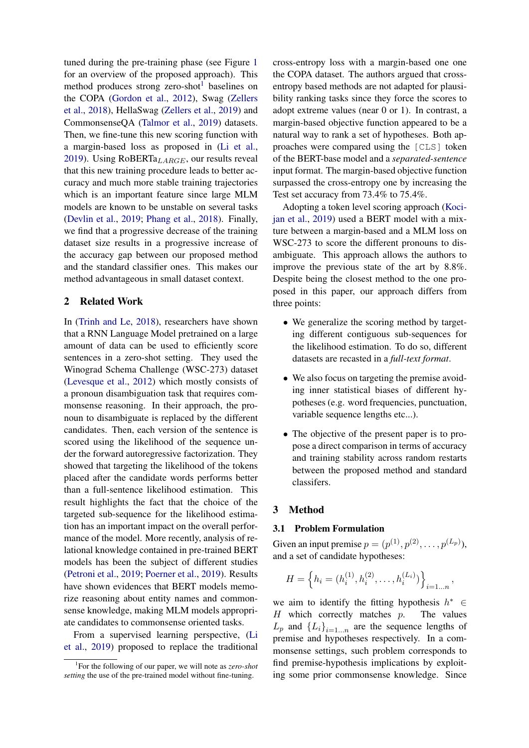tuned during the pre-training phase (see Figure [1](#page-2-0) for an overview of the proposed approach). This method produces strong zero-shot<sup>[1](#page-1-1)</sup> baselines on the COPA [\(Gordon et al.,](#page-8-1) [2012\)](#page-8-1), Swag [\(Zellers](#page-8-2) [et al.,](#page-8-2) [2018\)](#page-8-2), HellaSwag [\(Zellers et al.,](#page-9-0) [2019\)](#page-9-0) and CommonsenseQA [\(Talmor et al.,](#page-8-3) [2019\)](#page-8-3) datasets. Then, we fine-tune this new scoring function with a margin-based loss as proposed in [\(Li et al.,](#page-8-5) [2019\)](#page-8-5). Using RoBERTa $_{LARGE}$ , our results reveal that this new training procedure leads to better accuracy and much more stable training trajectories which is an important feature since large MLM models are known to be unstable on several tasks [\(Devlin et al.,](#page-8-0) [2019;](#page-8-0) [Phang et al.,](#page-8-6) [2018\)](#page-8-6). Finally, we find that a progressive decrease of the training dataset size results in a progressive increase of the accuracy gap between our proposed method and the standard classifier ones. This makes our method advantageous in small dataset context.

# 2 Related Work

In [\(Trinh and Le,](#page-8-7) [2018\)](#page-8-7), researchers have shown that a RNN Language Model pretrained on a large amount of data can be used to efficiently score sentences in a zero-shot setting. They used the Winograd Schema Challenge (WSC-273) dataset [\(Levesque et al.,](#page-8-8) [2012\)](#page-8-8) which mostly consists of a pronoun disambiguation task that requires commonsense reasoning. In their approach, the pronoun to disambiguate is replaced by the different candidates. Then, each version of the sentence is scored using the likelihood of the sequence under the forward autoregressive factorization. They showed that targeting the likelihood of the tokens placed after the candidate words performs better than a full-sentence likelihood estimation. This result highlights the fact that the choice of the targeted sub-sequence for the likelihood estimation has an important impact on the overall performance of the model. More recently, analysis of relational knowledge contained in pre-trained BERT models has been the subject of different studies [\(Petroni et al.,](#page-8-9) [2019;](#page-8-9) [Poerner et al.,](#page-8-10) [2019\)](#page-8-10). Results have shown evidences that BERT models memorize reasoning about entity names and commonsense knowledge, making MLM models appropriate candidates to commonsense oriented tasks.

From a supervised learning perspective, [\(Li](#page-8-5) [et al.,](#page-8-5) [2019\)](#page-8-5) proposed to replace the traditional

cross-entropy loss with a margin-based one one the COPA dataset. The authors argued that crossentropy based methods are not adapted for plausibility ranking tasks since they force the scores to adopt extreme values (near 0 or 1). In contrast, a margin-based objective function appeared to be a natural way to rank a set of hypotheses. Both approaches were compared using the [CLS] token of the BERT-base model and a *separated-sentence* input format. The margin-based objective function surpassed the cross-entropy one by increasing the Test set accuracy from 73.4% to 75.4%.

Adopting a token level scoring approach [\(Koci](#page-8-11)[jan et al.,](#page-8-11) [2019\)](#page-8-11) used a BERT model with a mixture between a margin-based and a MLM loss on WSC-273 to score the different pronouns to disambiguate. This approach allows the authors to improve the previous state of the art by 8.8%. Despite being the closest method to the one proposed in this paper, our approach differs from three points:

- We generalize the scoring method by targeting different contiguous sub-sequences for the likelihood estimation. To do so, different datasets are recasted in a *full-text format*.
- We also focus on targeting the premise avoiding inner statistical biases of different hypotheses (e.g. word frequencies, punctuation, variable sequence lengths etc...).
- The objective of the present paper is to propose a direct comparison in terms of accuracy and training stability across random restarts between the proposed method and standard classifers.

# <span id="page-1-0"></span>3 Method

#### <span id="page-1-2"></span>3.1 Problem Formulation

Given an input premise  $p = (p^{(1)}, p^{(2)}, \dots, p^{(L_p)}),$ and a set of candidate hypotheses:

$$
H = \left\{ h_i = (h_i^{(1)}, h_i^{(2)}, \dots, h_i^{(L_i)}) \right\}_{i=1...n},
$$

we aim to identify the fitting hypothesis  $h^* \in$  $H$  which correctly matches  $p$ . The values  $L_p$  and  ${L_i}_{i=1...n}$  are the sequence lengths of premise and hypotheses respectively. In a commonsense settings, such problem corresponds to find premise-hypothesis implications by exploiting some prior commonsense knowledge. Since

<span id="page-1-1"></span><sup>1</sup> For the following of our paper, we will note as *zero-shot setting* the use of the pre-trained model without fine-tuning.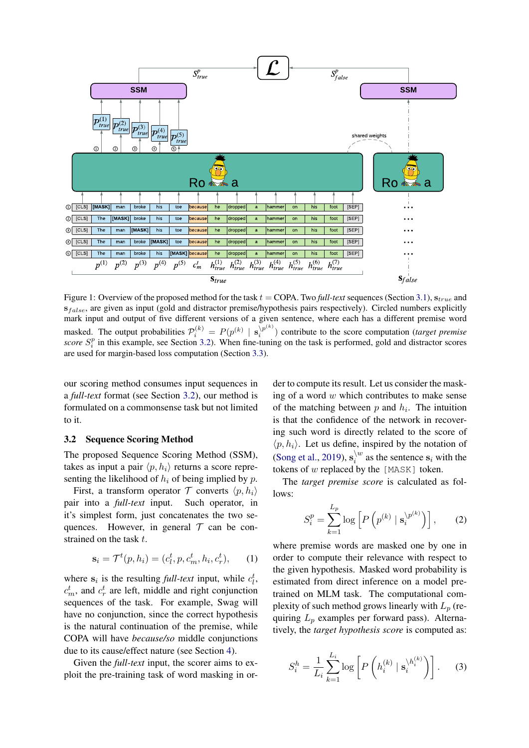<span id="page-2-0"></span>

Figure 1: Overview of the proposed method for the task  $t = \text{COPA}$ . Two *full-text* sequences (Section [3.1\)](#page-1-2),  $s_{true}$  and  $s_{false}$ , are given as input (gold and distractor premise/hypothesis pairs respectively). Circled numbers explicitly mark input and output of five different versions of a given sentence, where each has a different premise word masked. The output probabilities  $\mathcal{P}_i^{(k)} = P(p^{(k)} | s_i^{p^{(k)}})$  $\binom{n}{i}$  contribute to the score computation (*target premise*) *score*  $S_i^p$  in this example, see Section [3.2\)](#page-2-1). When fine-tuning on the task is performed, gold and distractor scores are used for margin-based loss computation (Section [3.3\)](#page-3-0).

our scoring method consumes input sequences in a *full-text* format (see Section [3.2\)](#page-2-1), our method is formulated on a commonsense task but not limited to it.

#### <span id="page-2-1"></span>3.2 Sequence Scoring Method

The proposed Sequence Scoring Method (SSM), takes as input a pair  $\langle p, h_i \rangle$  returns a score representing the likelihood of  $h_i$  of being implied by p.

First, a transform operator  $\mathcal T$  converts  $\langle p, h_i \rangle$ pair into a *full-text* input. Such operator, in it's simplest form, just concatenates the two sequences. However, in general  $T$  can be constrained on the task t.

$$
\mathbf{s}_i = \mathcal{T}^t(p, h_i) = (c_l^t, p, c_m^t, h_i, c_r^t), \qquad (1)
$$

where  $s_i$  is the resulting *full-text* input, while  $c_l^t$ ,  $c_m^t$ , and  $c_r^t$  are left, middle and right conjunction sequences of the task. For example, Swag will have no conjunction, since the correct hypothesis is the natural continuation of the premise, while COPA will have *because/so* middle conjunctions due to its cause/effect nature (see Section [4\)](#page-3-1).

Given the *full-text* input, the scorer aims to exploit the pre-training task of word masking in or-

der to compute its result. Let us consider the masking of a word  $w$  which contributes to make sense of the matching between  $p$  and  $h_i$ . The intuition is that the confidence of the network in recovering such word is directly related to the score of  $\langle p, h_i \rangle$ . Let us define, inspired by the notation of [\(Song et al.,](#page-8-12) [2019\)](#page-8-12),  $\mathbf{s}_i^{\setminus u}$  $\int_i^w$  as the sentence  $s_i$  with the tokens of w replaced by the [MASK] token.

The *target premise score* is calculated as follows:

<span id="page-2-2"></span>
$$
S_i^p = \sum_{k=1}^{L_p} \log \left[ P\left(p^{(k)} \mid \mathbf{s}_i^{\setminus p^{(k)}}\right) \right],\qquad(2)
$$

where premise words are masked one by one in order to compute their relevance with respect to the given hypothesis. Masked word probability is estimated from direct inference on a model pretrained on MLM task. The computational complexity of such method grows linearly with  $L_p$  (requiring  $L_p$  examples per forward pass). Alternatively, the *target hypothesis score* is computed as:

$$
S_i^h = \frac{1}{L_i} \sum_{k=1}^{L_i} \log \left[ P\left( h_i^{(k)} \mid \mathbf{s}_i^{\backslash h_i^{(k)}} \right) \right]. \tag{3}
$$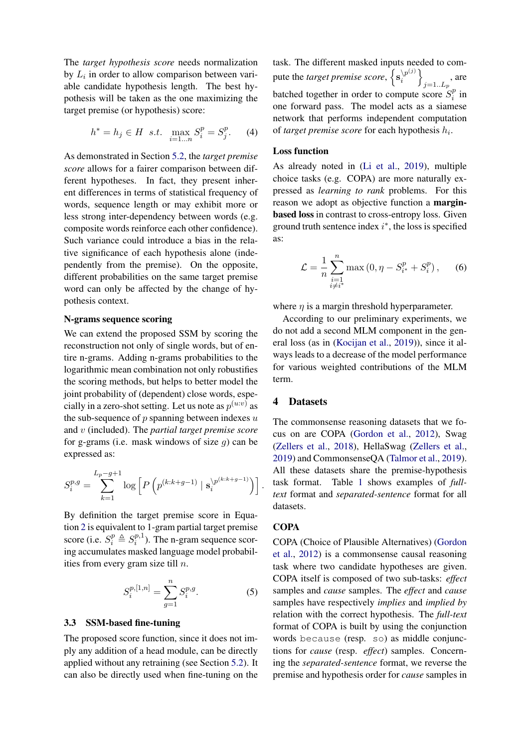The *target hypothesis score* needs normalization by  $L_i$  in order to allow comparison between variable candidate hypothesis length. The best hypothesis will be taken as the one maximizing the target premise (or hypothesis) score:

$$
h^* = h_j \in H \ \ s.t. \ \ \max_{i=1...n} S_i^p = S_j^p. \tag{4}
$$

As demonstrated in Section [5.2,](#page-5-0) the *target premise score* allows for a fairer comparison between different hypotheses. In fact, they present inherent differences in terms of statistical frequency of words, sequence length or may exhibit more or less strong inter-dependency between words (e.g. composite words reinforce each other confidence). Such variance could introduce a bias in the relative significance of each hypothesis alone (independently from the premise). On the opposite, different probabilities on the same target premise word can only be affected by the change of hypothesis context.

#### N-grams sequence scoring

We can extend the proposed SSM by scoring the reconstruction not only of single words, but of entire n-grams. Adding n-grams probabilities to the logarithmic mean combination not only robustifies the scoring methods, but helps to better model the joint probability of (dependent) close words, especially in a zero-shot setting. Let us note as  $p^{(u:v)}$  as the sub-sequence of  $p$  spanning between indexes  $u$ and v (included). The *partial target premise score* for g-grams (i.e. mask windows of size  $q$ ) can be expressed as:

$$
S_i^{p,g} = \sum_{k=1}^{L_p - g + 1} \log \left[ P \left( p^{(k:k+g-1)} \mid \mathbf{s}_i^{\setminus p^{(k:k+g-1)}} \right) \right].
$$

By definition the target premise score in Equation [2](#page-2-2) is equivalent to 1-gram partial target premise score (i.e.  $S_i^p \triangleq S_i^{p,1}$  $i^{(p,1)}$ . The n-gram sequence scoring accumulates masked language model probabilities from every gram size till  $n$ .

$$
S_i^{p,[1,n]} = \sum_{g=1}^n S_i^{p,g}.
$$
 (5)

#### <span id="page-3-0"></span>3.3 SSM-based fine-tuning

The proposed score function, since it does not imply any addition of a head module, can be directly applied without any retraining (see Section [5.2\)](#page-5-0). It can also be directly used when fine-tuning on the task. The different masked inputs needed to compute the *target premise score*,  $\{s_i^{(p(j))}\}$  $\left.\begin{matrix} \n\langle p^{(j)}\rangle\end{matrix}\right\}$  $_{j=1..L_p}$ , are batched together in order to compute score  $S_i^p$  $\binom{p}{i}$  in one forward pass. The model acts as a siamese network that performs independent computation of *target premise score* for each hypothesis  $h_i$ .

#### Loss function

As already noted in [\(Li et al.,](#page-8-5) [2019\)](#page-8-5), multiple choice tasks (e.g. COPA) are more naturally expressed as *learning to rank* problems. For this reason we adopt as objective function a marginbased loss in contrast to cross-entropy loss. Given ground truth sentence index  $i^*$ , the loss is specified as:

$$
\mathcal{L} = \frac{1}{n} \sum_{\substack{i=1 \\ i \neq i^*}}^n \max(0, \eta - S_{i^*}^p + S_i^p), \quad (6)
$$

where  $\eta$  is a margin threshold hyperparameter.

According to our preliminary experiments, we do not add a second MLM component in the general loss (as in [\(Kocijan et al.,](#page-8-11) [2019\)](#page-8-11)), since it always leads to a decrease of the model performance for various weighted contributions of the MLM term.

#### 4 Datasets

The commonsense reasoning datasets that we focus on are COPA [\(Gordon et al.,](#page-8-1) [2012\)](#page-8-1), Swag [\(Zellers et al.,](#page-8-2) [2018\)](#page-8-2), HellaSwag [\(Zellers et al.,](#page-9-0) [2019\)](#page-9-0) and CommonsenseQA [\(Talmor et al.,](#page-8-3) [2019\)](#page-8-3). All these datasets share the premise-hypothesis task format. Table [1](#page-4-0) shows examples of *fulltext* format and *separated-sentence* format for all datasets.

#### <span id="page-3-1"></span>**COPA**

COPA (Choice of Plausible Alternatives) [\(Gordon](#page-8-1) [et al.,](#page-8-1) [2012\)](#page-8-1) is a commonsense causal reasoning task where two candidate hypotheses are given. COPA itself is composed of two sub-tasks: *effect* samples and *cause* samples. The *effect* and *cause* samples have respectively *implies* and *implied by* relation with the correct hypothesis. The *full-text* format of COPA is built by using the conjunction words because (resp. so) as middle conjunctions for *cause* (resp. *effect*) samples. Concerning the *separated-sentence* format, we reverse the premise and hypothesis order for *cause* samples in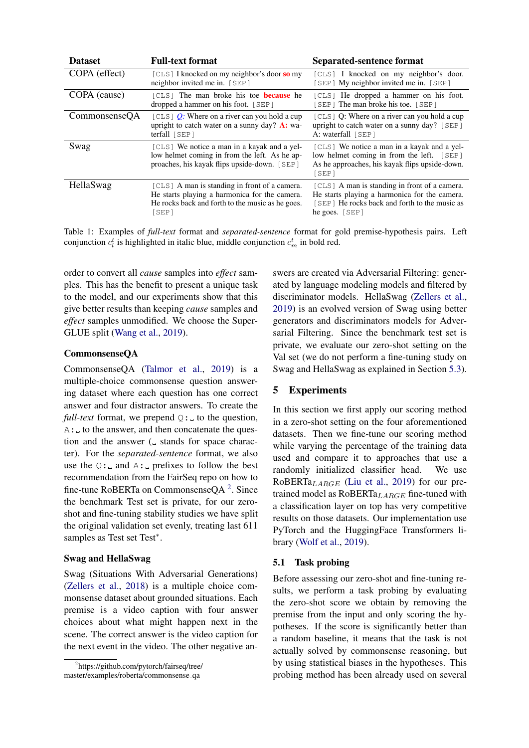<span id="page-4-0"></span>

| <b>Dataset</b> | <b>Full-text format</b>                                                                                                                                    | Separated-sentence format                                                                                                                                           |
|----------------|------------------------------------------------------------------------------------------------------------------------------------------------------------|---------------------------------------------------------------------------------------------------------------------------------------------------------------------|
| COPA (effect)  | $[CLS]$ I knocked on my neighbor's door so my<br>neighbor invited me in. [SEP]                                                                             | [CLS] I knocked on my neighbor's door.<br>[SEP] My neighbor invited me in. [SEP]                                                                                    |
| COPA (cause)   | [CLS] The man broke his toe <b>because</b> he<br>dropped a hammer on his foot. [SEP]                                                                       | [CLS] He dropped a hammer on his foot.<br>[SEP] The man broke his toe. [SEP]                                                                                        |
| CommonsenseQA  | [CLS] $Q$ : Where on a river can you hold a cup<br>upright to catch water on a sunny day? $\mathbf{A}$ : wa-<br>terfall $[SEP]$                            | $[CLS]$ Q: Where on a river can you hold a cup<br>upright to catch water on a sunny day? [SEP]<br>A: waterfall [SEP]                                                |
| Swag           | [CLS] We notice a man in a kayak and a yel-<br>low helmet coming in from the left. As he ap-<br>proaches, his kayak flips upside-down. [SEP]               | [CLS] We notice a man in a kayak and a yel-<br>low helmet coming in from the left. [SEP]<br>As he approaches, his kayak flips upside-down.<br>[SEP]                 |
| HellaSwag      | [CLS] A man is standing in front of a camera.<br>He starts playing a harmonica for the camera.<br>He rocks back and forth to the music as he goes.<br>SEP1 | [CLS] A man is standing in front of a camera.<br>He starts playing a harmonica for the camera.<br>[SEP] He rocks back and forth to the music as<br>he goes. $[SEP]$ |

Table 1: Examples of *full-text* format and *separated-sentence* format for gold premise-hypothesis pairs. Left conjunction  $c_l^t$  is highlighted in italic blue, middle conjunction  $c_m^t$  in bold red.

order to convert all *cause* samples into *effect* samples. This has the benefit to present a unique task to the model, and our experiments show that this give better results than keeping *cause* samples and *effect* samples unmodified. We choose the Super-GLUE split [\(Wang et al.,](#page-8-13) [2019\)](#page-8-13).

# <span id="page-4-2"></span>CommonsenseQA

CommonsenseQA [\(Talmor et al.,](#page-8-3) [2019\)](#page-8-3) is a multiple-choice commonsense question answering dataset where each question has one correct answer and four distractor answers. To create the *full-text* format, we prepend  $Q:U$  to the question,  $A:$  to the answer, and then concatenate the question and the answer  $($  stands for space character). For the *separated-sentence* format, we also use the  $Q:$  and A: prefixes to follow the best recommendation from the FairSeq repo on how to fine-tune RoBERTa on Commonsense $QA<sup>2</sup>$  $QA<sup>2</sup>$  $QA<sup>2</sup>$ . Since the benchmark Test set is private, for our zeroshot and fine-tuning stability studies we have split the original validation set evenly, treating last 611 samples as Test set Test<sup>\*</sup>.

#### Swag and HellaSwag

Swag (Situations With Adversarial Generations) [\(Zellers et al.,](#page-8-2) [2018\)](#page-8-2) is a multiple choice commonsense dataset about grounded situations. Each premise is a video caption with four answer choices about what might happen next in the scene. The correct answer is the video caption for the next event in the video. The other negative an-

<span id="page-4-1"></span>2 https://github.com/pytorch/fairseq/tree/ master/examples/roberta/commonsense qa

swers are created via Adversarial Filtering: generated by language modeling models and filtered by discriminator models. HellaSwag [\(Zellers et al.,](#page-9-0) [2019\)](#page-9-0) is an evolved version of Swag using better generators and discriminators models for Adversarial Filtering. Since the benchmark test set is private, we evaluate our zero-shot setting on the Val set (we do not perform a fine-tuning study on Swag and HellaSwag as explained in Section [5.3\)](#page-5-1).

# 5 Experiments

In this section we first apply our scoring method in a zero-shot setting on the four aforementioned datasets. Then we fine-tune our scoring method while varying the percentage of the training data used and compare it to approaches that use a randomly initialized classifier head. We use RoBERTa<sub>LARGE</sub> [\(Liu et al.,](#page-8-4) [2019\)](#page-8-4) for our pretrained model as  $RoBERTa_{LARGE}$  fine-tuned with a classification layer on top has very competitive results on those datasets. Our implementation use PyTorch and the HuggingFace Transformers library [\(Wolf et al.,](#page-8-14) [2019\)](#page-8-14).

#### <span id="page-4-3"></span>5.1 Task probing

Before assessing our zero-shot and fine-tuning results, we perform a task probing by evaluating the zero-shot score we obtain by removing the premise from the input and only scoring the hypotheses. If the score is significantly better than a random baseline, it means that the task is not actually solved by commonsense reasoning, but by using statistical biases in the hypotheses. This probing method has been already used on several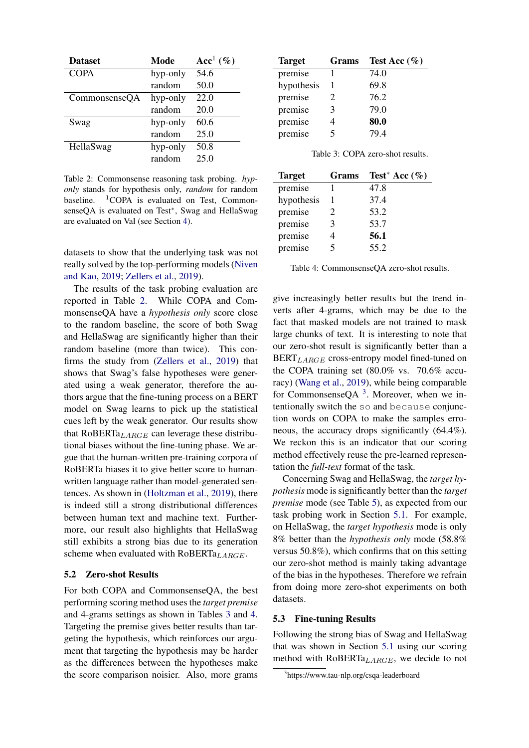<span id="page-5-2"></span>

| <b>Dataset</b> | Mode     | Acc <sup>1</sup> $(\%)$ |
|----------------|----------|-------------------------|
| <b>COPA</b>    | hyp-only | 54.6                    |
|                | random   | 50.0                    |
| CommonsenseQA  | hyp-only | 22.0                    |
|                | random   | 20.0                    |
| Swag           | hyp-only | 60.6                    |
|                | random   | 25.0                    |
| HellaSwag      | hyp-only | 50.8                    |
|                | random   | 25.0                    |

Table 2: Commonsense reasoning task probing. *hyponly* stands for hypothesis only, *random* for random baseline.  ${}^{1}$ COPA is evaluated on Test, CommonsenseQA is evaluated on Test<sup>\*</sup>, Swag and HellaSwag are evaluated on Val (see Section [4\)](#page-4-2).

datasets to show that the underlying task was not really solved by the top-performing models [\(Niven](#page-8-15) [and Kao,](#page-8-15) [2019;](#page-8-15) [Zellers et al.,](#page-9-0) [2019\)](#page-9-0).

The results of the task probing evaluation are reported in Table [2.](#page-5-2) While COPA and CommonsenseQA have a *hypothesis only* score close to the random baseline, the score of both Swag and HellaSwag are significantly higher than their random baseline (more than twice). This confirms the study from [\(Zellers et al.,](#page-9-0) [2019\)](#page-9-0) that shows that Swag's false hypotheses were generated using a weak generator, therefore the authors argue that the fine-tuning process on a BERT model on Swag learns to pick up the statistical cues left by the weak generator. Our results show that RoBERTa<sub>LARGE</sub> can leverage these distributional biases without the fine-tuning phase. We argue that the human-written pre-training corpora of RoBERTa biases it to give better score to humanwritten language rather than model-generated sentences. As shown in [\(Holtzman et al.,](#page-8-16) [2019\)](#page-8-16), there is indeed still a strong distributional differences between human text and machine text. Furthermore, our result also highlights that HellaSwag still exhibits a strong bias due to its generation scheme when evaluated with  $RoBERTa<sub>LARGE</sub>$ .

## <span id="page-5-0"></span>5.2 Zero-shot Results

For both COPA and CommonsenseQA, the best performing scoring method uses the *target premise* and 4-grams settings as shown in Tables [3](#page-5-3) and [4.](#page-5-4) Targeting the premise gives better results than targeting the hypothesis, which reinforces our argument that targeting the hypothesis may be harder as the differences between the hypotheses make the score comparison noisier. Also, more grams

<span id="page-5-3"></span>

| <b>Target</b> | Grams | Test Acc $(\%)$ |
|---------------|-------|-----------------|
| premise       |       | 74.0            |
| hypothesis    | 1     | 69.8            |
| premise       | 2     | 76.2            |
| premise       | 3     | 79.0            |
| premise       | 4     | 80.0            |
| premise       | 5     | 79.4            |

| Table 3: COPA zero-shot results. |  |
|----------------------------------|--|
|----------------------------------|--|

<span id="page-5-4"></span>

| <b>Target</b> | Grams | Test <sup>*</sup> Acc $(\%)$ |
|---------------|-------|------------------------------|
| premise       |       | 47.8                         |
| hypothesis    |       | 37.4                         |
| premise       | 2.    | 53.2                         |
| premise       | 3     | 53.7                         |
| premise       |       | 56.1                         |
| premise       | 5     | 55.2                         |

Table 4: CommonsenseQA zero-shot results.

give increasingly better results but the trend inverts after 4-grams, which may be due to the fact that masked models are not trained to mask large chunks of text. It is interesting to note that our zero-shot result is significantly better than a  $BERT_{LARGE}$  cross-entropy model fined-tuned on the COPA training set (80.0% vs. 70.6% accuracy) [\(Wang et al.,](#page-8-13) [2019\)](#page-8-13), while being comparable for Commonsense $QA$ <sup>[3](#page-5-5)</sup>. Moreover, when we intentionally switch the so and because conjunction words on COPA to make the samples erroneous, the accuracy drops significantly (64.4%). We reckon this is an indicator that our scoring method effectively reuse the pre-learned representation the *full-text* format of the task.

Concerning Swag and HellaSwag, the *target hypothesis* mode is significantly better than the *target premise* mode (see Table [5\)](#page-6-0), as expected from our task probing work in Section [5.1.](#page-4-3) For example, on HellaSwag, the *target hypothesis* mode is only 8% better than the *hypothesis only* mode (58.8% versus 50.8%), which confirms that on this setting our zero-shot method is mainly taking advantage of the bias in the hypotheses. Therefore we refrain from doing more zero-shot experiments on both datasets.

#### <span id="page-5-1"></span>5.3 Fine-tuning Results

Following the strong bias of Swag and HellaSwag that was shown in Section [5.1](#page-4-3) using our scoring method with  $RoBERTa<sub>LARGE</sub>$ , we decide to not

<span id="page-5-5"></span><sup>3</sup> https://www.tau-nlp.org/csqa-leaderboard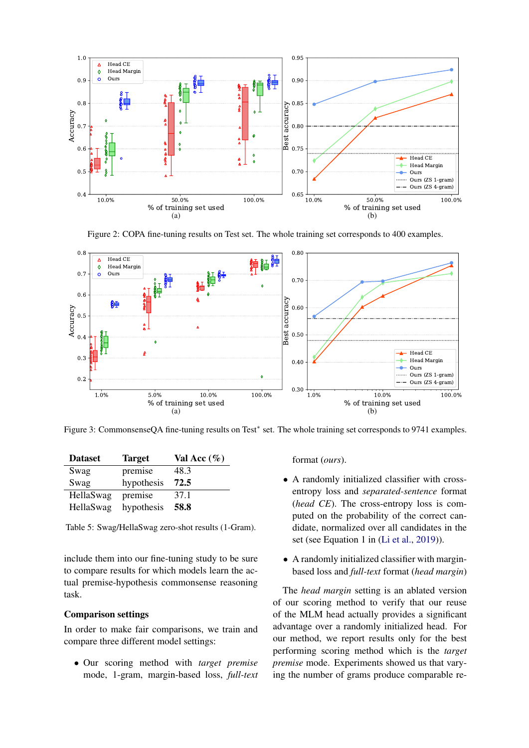<span id="page-6-1"></span>

Figure 2: COPA fine-tuning results on Test set. The whole training set corresponds to 400 examples.

<span id="page-6-2"></span>

Figure 3: CommonsenseQA fine-tuning results on Test<sup>\*</sup> set. The whole training set corresponds to 9741 examples.

<span id="page-6-0"></span>

| <b>Dataset</b> | <b>Target</b> | Val Acc $(\%)$ |
|----------------|---------------|----------------|
| Swag           | premise       | 48.3           |
| Swag           | hypothesis    | 72.5           |
| HellaSwag      | premise       | 37.1           |
| HellaSwag      | hypothesis    | 58.8           |

Table 5: Swag/HellaSwag zero-shot results (1-Gram).

include them into our fine-tuning study to be sure to compare results for which models learn the actual premise-hypothesis commonsense reasoning task.

#### Comparison settings

In order to make fair comparisons, we train and compare three different model settings:

• Our scoring method with *target premise* mode, 1-gram, margin-based loss, *full-text* format (*ours*).

- A randomly initialized classifier with crossentropy loss and *separated-sentence* format (*head CE*). The cross-entropy loss is computed on the probability of the correct candidate, normalized over all candidates in the set (see Equation 1 in [\(Li et al.,](#page-8-5) [2019\)](#page-8-5)).
- A randomly initialized classifier with marginbased loss and *full-text* format (*head margin*)

The *head margin* setting is an ablated version of our scoring method to verify that our reuse of the MLM head actually provides a significant advantage over a randomly initialized head. For our method, we report results only for the best performing scoring method which is the *target premise* mode. Experiments showed us that varying the number of grams produce comparable re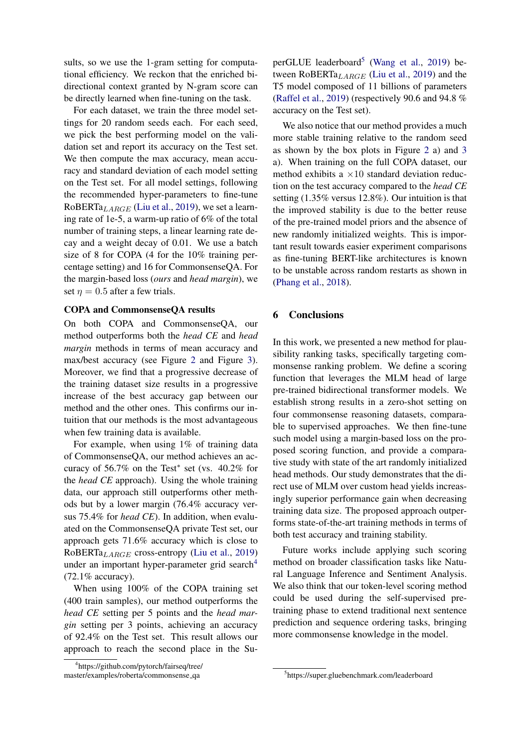sults, so we use the 1-gram setting for computational efficiency. We reckon that the enriched bidirectional context granted by N-gram score can be directly learned when fine-tuning on the task.

For each dataset, we train the three model settings for 20 random seeds each. For each seed, we pick the best performing model on the validation set and report its accuracy on the Test set. We then compute the max accuracy, mean accuracy and standard deviation of each model setting on the Test set. For all model settings, following the recommended hyper-parameters to fine-tune RoBERTa $_{LARGE}$  [\(Liu et al.,](#page-8-4) [2019\)](#page-8-4), we set a learning rate of 1e-5, a warm-up ratio of 6% of the total number of training steps, a linear learning rate decay and a weight decay of 0.01. We use a batch size of 8 for COPA (4 for the 10% training percentage setting) and 16 for CommonsenseQA. For the margin-based loss (*ours* and *head margin*), we set  $\eta = 0.5$  after a few trials.

# COPA and CommonsenseQA results

On both COPA and CommonsenseQA, our method outperforms both the *head CE* and *head margin* methods in terms of mean accuracy and max/best accuracy (see Figure [2](#page-6-1) and Figure [3\)](#page-6-2). Moreover, we find that a progressive decrease of the training dataset size results in a progressive increase of the best accuracy gap between our method and the other ones. This confirms our intuition that our methods is the most advantageous when few training data is available.

For example, when using 1% of training data of CommonsenseQA, our method achieves an accuracy of  $56.7\%$  on the Test<sup>\*</sup> set (vs. 40.2% for the *head CE* approach). Using the whole training data, our approach still outperforms other methods but by a lower margin (76.4% accuracy versus 75.4% for *head CE*). In addition, when evaluated on the CommonsenseQA private Test set, our approach gets 71.6% accuracy which is close to RoBERTaLARGE cross-entropy [\(Liu et al.,](#page-8-4) [2019\)](#page-8-4) under an important hyper-parameter grid search<sup>[4](#page-7-0)</sup> (72.1% accuracy).

When using 100% of the COPA training set (400 train samples), our method outperforms the *head CE* setting per 5 points and the *head margin* setting per 3 points, achieving an accuracy of 92.4% on the Test set. This result allows our approach to reach the second place in the Su-

<span id="page-7-0"></span>4 https://github.com/pytorch/fairseq/tree/ master/examples/roberta/commonsense qa

perGLUE leaderboard<sup>[5](#page-7-1)</sup> [\(Wang et al.,](#page-8-13) [2019\)](#page-8-13) between RoBERTa $_{LARGE}$  [\(Liu et al.,](#page-8-4) [2019\)](#page-8-4) and the T5 model composed of 11 billions of parameters [\(Raffel et al.,](#page-8-17) [2019\)](#page-8-17) (respectively 90.6 and 94.8 % accuracy on the Test set).

We also notice that our method provides a much more stable training relative to the random seed as shown by the box plots in Figure [2](#page-6-1) a) and [3](#page-6-2) a). When training on the full COPA dataset, our method exhibits a  $\times 10$  standard deviation reduction on the test accuracy compared to the *head CE* setting (1.35% versus 12.8%). Our intuition is that the improved stability is due to the better reuse of the pre-trained model priors and the absence of new randomly initialized weights. This is important result towards easier experiment comparisons as fine-tuning BERT-like architectures is known to be unstable across random restarts as shown in [\(Phang et al.,](#page-8-6) [2018\)](#page-8-6).

# 6 Conclusions

In this work, we presented a new method for plausibility ranking tasks, specifically targeting commonsense ranking problem. We define a scoring function that leverages the MLM head of large pre-trained bidirectional transformer models. We establish strong results in a zero-shot setting on four commonsense reasoning datasets, comparable to supervised approaches. We then fine-tune such model using a margin-based loss on the proposed scoring function, and provide a comparative study with state of the art randomly initialized head methods. Our study demonstrates that the direct use of MLM over custom head yields increasingly superior performance gain when decreasing training data size. The proposed approach outperforms state-of-the-art training methods in terms of both test accuracy and training stability.

Future works include applying such scoring method on broader classification tasks like Natural Language Inference and Sentiment Analysis. We also think that our token-level scoring method could be used during the self-supervised pretraining phase to extend traditional next sentence prediction and sequence ordering tasks, bringing more commonsense knowledge in the model.

<span id="page-7-1"></span><sup>5</sup> https://super.gluebenchmark.com/leaderboard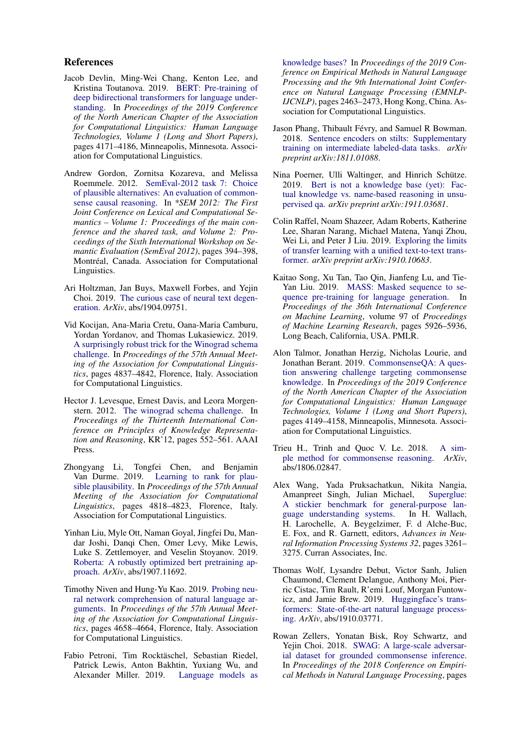#### References

- <span id="page-8-0"></span>Jacob Devlin, Ming-Wei Chang, Kenton Lee, and Kristina Toutanova. 2019. [BERT: Pre-training of](https://doi.org/10.18653/v1/N19-1423) [deep bidirectional transformers for language under](https://doi.org/10.18653/v1/N19-1423)[standing.](https://doi.org/10.18653/v1/N19-1423) In *Proceedings of the 2019 Conference of the North American Chapter of the Association for Computational Linguistics: Human Language Technologies, Volume 1 (Long and Short Papers)*, pages 4171–4186, Minneapolis, Minnesota. Association for Computational Linguistics.
- <span id="page-8-1"></span>Andrew Gordon, Zornitsa Kozareva, and Melissa Roemmele. 2012. [SemEval-2012 task 7: Choice](https://www.aclweb.org/anthology/S12-1052) [of plausible alternatives: An evaluation of common](https://www.aclweb.org/anthology/S12-1052)[sense causal reasoning.](https://www.aclweb.org/anthology/S12-1052) In *\*SEM 2012: The First Joint Conference on Lexical and Computational Semantics – Volume 1: Proceedings of the main conference and the shared task, and Volume 2: Proceedings of the Sixth International Workshop on Semantic Evaluation (SemEval 2012)*, pages 394–398, Montréal, Canada. Association for Computational Linguistics.
- <span id="page-8-16"></span>Ari Holtzman, Jan Buys, Maxwell Forbes, and Yejin Choi. 2019. [The curious case of neural text degen](https://arxiv.org/abs/1904.09751)[eration.](https://arxiv.org/abs/1904.09751) *ArXiv*, abs/1904.09751.
- <span id="page-8-11"></span>Vid Kocijan, Ana-Maria Cretu, Oana-Maria Camburu, Yordan Yordanov, and Thomas Lukasiewicz. 2019. [A surprisingly robust trick for the Winograd schema](https://doi.org/10.18653/v1/P19-1478) [challenge.](https://doi.org/10.18653/v1/P19-1478) In *Proceedings of the 57th Annual Meeting of the Association for Computational Linguistics*, pages 4837–4842, Florence, Italy. Association for Computational Linguistics.
- <span id="page-8-8"></span>Hector J. Levesque, Ernest Davis, and Leora Morgenstern. 2012. [The winograd schema challenge.](http://dl.acm.org/citation.cfm?id=3031843.3031909) In *Proceedings of the Thirteenth International Conference on Principles of Knowledge Representation and Reasoning*, KR'12, pages 552–561. AAAI Press.
- <span id="page-8-5"></span>Zhongyang Li, Tongfei Chen, and Benjamin Van Durme. 2019. [Learning to rank for plau](https://doi.org/10.18653/v1/P19-1475)[sible plausibility.](https://doi.org/10.18653/v1/P19-1475) In *Proceedings of the 57th Annual Meeting of the Association for Computational Linguistics*, pages 4818–4823, Florence, Italy. Association for Computational Linguistics.
- <span id="page-8-4"></span>Yinhan Liu, Myle Ott, Naman Goyal, Jingfei Du, Mandar Joshi, Danqi Chen, Omer Levy, Mike Lewis, Luke S. Zettlemoyer, and Veselin Stoyanov. 2019. [Roberta: A robustly optimized bert pretraining ap](https://arxiv.org/abs/1907.11692)[proach.](https://arxiv.org/abs/1907.11692) *ArXiv*, abs/1907.11692.
- <span id="page-8-15"></span>Timothy Niven and Hung-Yu Kao. 2019. [Probing neu](https://doi.org/10.18653/v1/P19-1459)[ral network comprehension of natural language ar](https://doi.org/10.18653/v1/P19-1459)[guments.](https://doi.org/10.18653/v1/P19-1459) In *Proceedings of the 57th Annual Meeting of the Association for Computational Linguistics*, pages 4658–4664, Florence, Italy. Association for Computational Linguistics.
- <span id="page-8-9"></span>Fabio Petroni, Tim Rocktäschel, Sebastian Riedel, Patrick Lewis, Anton Bakhtin, Yuxiang Wu, and Alexander Miller. 2019. [Language models as](https://doi.org/10.18653/v1/D19-1250)

[knowledge bases?](https://doi.org/10.18653/v1/D19-1250) In *Proceedings of the 2019 Conference on Empirical Methods in Natural Language Processing and the 9th International Joint Conference on Natural Language Processing (EMNLP-IJCNLP)*, pages 2463–2473, Hong Kong, China. Association for Computational Linguistics.

- <span id="page-8-6"></span>Jason Phang, Thibault Févry, and Samuel R Bowman. 2018. [Sentence encoders on stilts: Supplementary](https://arxiv.org/abs/1811.01088) [training on intermediate labeled-data tasks.](https://arxiv.org/abs/1811.01088) *arXiv preprint arXiv:1811.01088*.
- <span id="page-8-10"></span>Nina Poerner, Ulli Waltinger, and Hinrich Schütze. 2019. [Bert is not a knowledge base \(yet\): Fac](https://arxiv.org/abs/1911.03681)[tual knowledge vs. name-based reasoning in unsu](https://arxiv.org/abs/1911.03681)[pervised qa.](https://arxiv.org/abs/1911.03681) *arXiv preprint arXiv:1911.03681*.
- <span id="page-8-17"></span>Colin Raffel, Noam Shazeer, Adam Roberts, Katherine Lee, Sharan Narang, Michael Matena, Yanqi Zhou, Wei Li, and Peter J Liu. 2019. [Exploring the limits](https://arxiv.org/abs/1910.10683) [of transfer learning with a unified text-to-text trans](https://arxiv.org/abs/1910.10683)[former.](https://arxiv.org/abs/1910.10683) *arXiv preprint arXiv:1910.10683*.
- <span id="page-8-12"></span>Kaitao Song, Xu Tan, Tao Qin, Jianfeng Lu, and Tie-Yan Liu. 2019. [MASS: Masked sequence to se](http://proceedings.mlr.press/v97/song19d.html)[quence pre-training for language generation.](http://proceedings.mlr.press/v97/song19d.html) In *Proceedings of the 36th International Conference on Machine Learning*, volume 97 of *Proceedings of Machine Learning Research*, pages 5926–5936, Long Beach, California, USA. PMLR.
- <span id="page-8-3"></span>Alon Talmor, Jonathan Herzig, Nicholas Lourie, and Jonathan Berant. 2019. [CommonsenseQA: A ques](https://doi.org/10.18653/v1/N19-1421)[tion answering challenge targeting commonsense](https://doi.org/10.18653/v1/N19-1421) [knowledge.](https://doi.org/10.18653/v1/N19-1421) In *Proceedings of the 2019 Conference of the North American Chapter of the Association for Computational Linguistics: Human Language Technologies, Volume 1 (Long and Short Papers)*, pages 4149–4158, Minneapolis, Minnesota. Association for Computational Linguistics.
- <span id="page-8-7"></span>Trieu H., Trinh and Quoc V. Le. 2018. [A sim](https://arxiv.org/abs/1806.02847)[ple method for commonsense reasoning.](https://arxiv.org/abs/1806.02847) *ArXiv*, abs/1806.02847.
- <span id="page-8-13"></span>Alex Wang, Yada Pruksachatkun, Nikita Nangia, Amanpreet Singh, Julian Michael, [Superglue:](http://papers.nips.cc/paper/8589-superglue-a-stickier-benchmark-for-general-purpose-language-understanding-systems.pdf) [A stickier benchmark for general-purpose lan](http://papers.nips.cc/paper/8589-superglue-a-stickier-benchmark-for-general-purpose-language-understanding-systems.pdf)[guage understanding systems.](http://papers.nips.cc/paper/8589-superglue-a-stickier-benchmark-for-general-purpose-language-understanding-systems.pdf) In H. Wallach, H. Larochelle, A. Beygelzimer, F. d Alche-Buc, E. Fox, and R. Garnett, editors, *Advances in Neural Information Processing Systems 32*, pages 3261– 3275. Curran Associates, Inc.
- <span id="page-8-14"></span>Thomas Wolf, Lysandre Debut, Victor Sanh, Julien Chaumond, Clement Delangue, Anthony Moi, Pierric Cistac, Tim Rault, R'emi Louf, Morgan Funtowicz, and Jamie Brew. 2019. [Huggingface's trans](https://arxiv.org/abs/1910.03771)[formers: State-of-the-art natural language process](https://arxiv.org/abs/1910.03771)[ing.](https://arxiv.org/abs/1910.03771) *ArXiv*, abs/1910.03771.
- <span id="page-8-2"></span>Rowan Zellers, Yonatan Bisk, Roy Schwartz, and Yejin Choi. 2018. [SWAG: A large-scale adversar](https://doi.org/10.18653/v1/D18-1009)[ial dataset for grounded commonsense inference.](https://doi.org/10.18653/v1/D18-1009) In *Proceedings of the 2018 Conference on Empirical Methods in Natural Language Processing*, pages